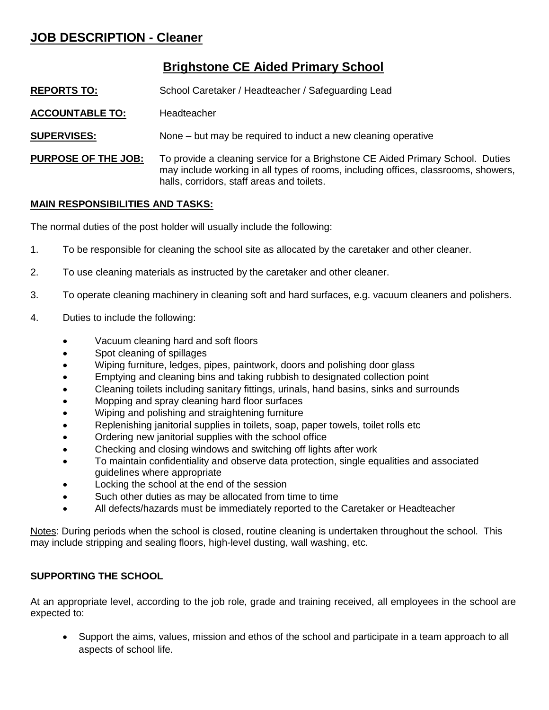# **JOB DESCRIPTION - Cleaner**

## **Brighstone CE Aided Primary School**

- **REPORTS TO:** School Caretaker / Headteacher / Safeguarding Lead
- **ACCOUNTABLE TO:** Headteacher
- **SUPERVISES:** None but may be required to induct a new cleaning operative
- **PURPOSE OF THE JOB:** To provide a cleaning service for a Brighstone CE Aided Primary School. Duties may include working in all types of rooms, including offices, classrooms, showers, halls, corridors, staff areas and toilets.

### **MAIN RESPONSIBILITIES AND TASKS:**

The normal duties of the post holder will usually include the following:

- 1. To be responsible for cleaning the school site as allocated by the caretaker and other cleaner.
- 2. To use cleaning materials as instructed by the caretaker and other cleaner.
- 3. To operate cleaning machinery in cleaning soft and hard surfaces, e.g. vacuum cleaners and polishers.
- 4. Duties to include the following:
	- Vacuum cleaning hard and soft floors
	- Spot cleaning of spillages
	- Wiping furniture, ledges, pipes, paintwork, doors and polishing door glass
	- Emptying and cleaning bins and taking rubbish to designated collection point
	- Cleaning toilets including sanitary fittings, urinals, hand basins, sinks and surrounds
	- Mopping and spray cleaning hard floor surfaces
	- Wiping and polishing and straightening furniture
	- Replenishing janitorial supplies in toilets, soap, paper towels, toilet rolls etc
	- Ordering new janitorial supplies with the school office
	- Checking and closing windows and switching off lights after work
	- To maintain confidentiality and observe data protection, single equalities and associated guidelines where appropriate
	- Locking the school at the end of the session
	- Such other duties as may be allocated from time to time
	- All defects/hazards must be immediately reported to the Caretaker or Headteacher

Notes: During periods when the school is closed, routine cleaning is undertaken throughout the school. This may include stripping and sealing floors, high-level dusting, wall washing, etc.

#### **SUPPORTING THE SCHOOL**

At an appropriate level, according to the job role, grade and training received, all employees in the school are expected to:

 Support the aims, values, mission and ethos of the school and participate in a team approach to all aspects of school life.